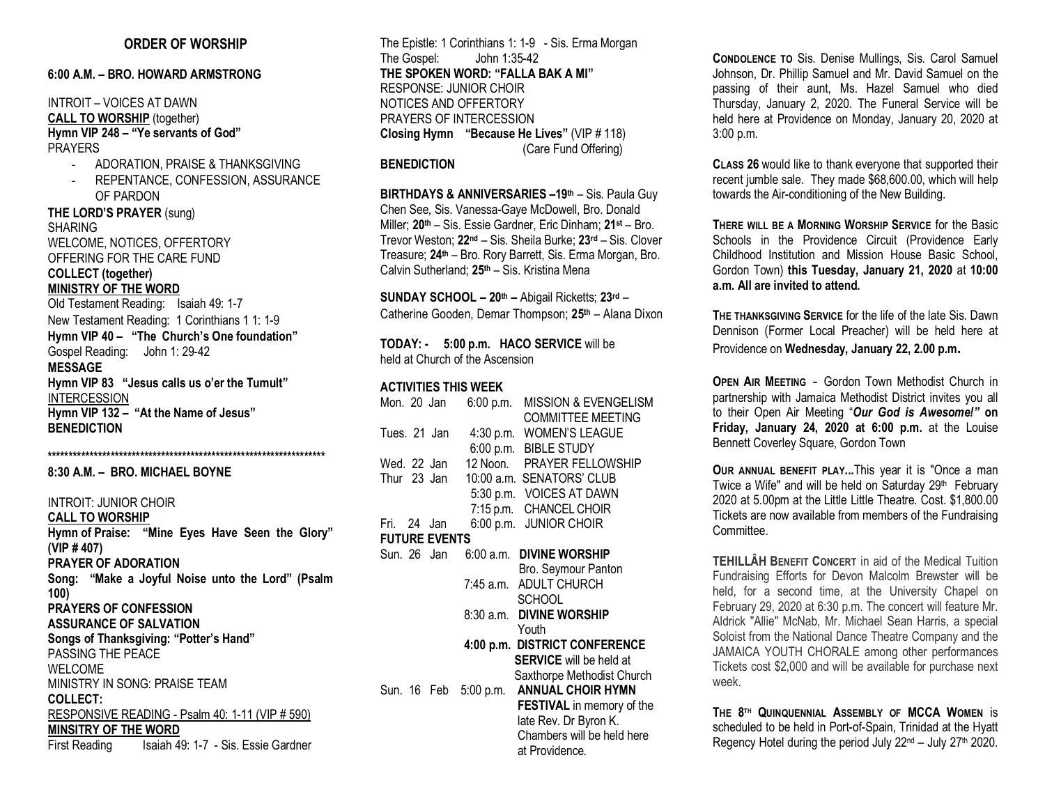#### **ORDER OF WORSHIP**

## **6:00 A.M. – BRO. HOWARD ARMSTRONG**

## INTROIT – VOICES AT DAWN **CALL TO WORSHIP** (together) **Hymn VIP 248 – "Ye servants of God"** PRAYERS

- ADORATION, PRAISE & THANKSGIVING
- REPENTANCE, CONFESSION, ASSURANCE OF PARDON

**THE LORD'S PRAYER** (sung) SHARING WELCOME, NOTICES, OFFERTORY OFFERING FOR THE CARE FUND **COLLECT (together) MINISTRY OF THE WORD**

Old Testament Reading: Isaiah 49: 1-7 New Testament Reading: 1 Corinthians 1 1: 1-9

**Hymn VIP 40 – "The Church's One foundation"**  Gospel Reading: John 1: 29-42 **MESSAGE Hymn VIP 83 "Jesus calls us o'er the Tumult"**  INTERCESSION **Hymn VIP 132 – "At the Name of Jesus" BENEDICTION**

**\*\*\*\*\*\*\*\*\*\*\*\*\*\*\*\*\*\*\*\*\*\*\*\*\*\*\*\*\*\*\*\*\*\*\*\*\*\*\*\*\*\*\*\*\*\*\*\*\*\*\*\*\*\*\*\*\*\*\*\*\*\*\*\*\*\***

**8:30 A.M. – BRO. MICHAEL BOYNE**

INTROIT: JUNIOR CHOIR **CALL TO WORSHIP Hymn of Praise: "Mine Eyes Have Seen the Glory" (VIP # 407) PRAYER OF ADORATION Song: "Make a Joyful Noise unto the Lord" (Psalm 100) PRAYERS OF CONFESSION ASSURANCE OF SALVATION Songs of Thanksgiving: "Potter's Hand"** PASSING THE PEACE WELCOME MINISTRY IN SONG: PRAISE TEAM **COLLECT:**  RESPONSIVE READING - Psalm 40: 1-11 (VIP # 590) **MINSITRY OF THE WORD** First Reading Isaiah 49: 1-7 - Sis. Essie Gardner

The Epistle: 1 Corinthians 1: 1-9 - Sis. Erma Morgan The Gospel: John 1:35-42 **THE SPOKEN WORD: "FALLA BAK A MI"** RESPONSE: JUNIOR CHOIR NOTICES AND OFFERTORY PRAYERS OF INTERCESSION **Closing Hymn "Because He Lives"** (VIP # 118) (Care Fund Offering)

#### **BENEDICTION**

**BIRTHDAYS & ANNIVERSARIES –19th** – Sis. Paula Guy Chen See, Sis. Vanessa-Gaye McDowell, Bro. Donald Miller; **20th** – Sis. Essie Gardner, Eric Dinham; **21st** – Bro. Trevor Weston; **22nd** – Sis. Sheila Burke; **23rd** – Sis. Clover Treasure; **24th** – Bro. Rory Barrett, Sis. Erma Morgan, Bro. Calvin Sutherland; **25th** – Sis. Kristina Mena

**SUNDAY SCHOOL – 20th –** Abigail Ricketts; **23rd** – Catherine Gooden, Demar Thompson; **25th** – Alana Dixon

**TODAY: - 5:00 p.m. HACO SERVICE** will be held at Church of the Ascension

#### **ACTIVITIES THIS WEEK**

| Mon. 20 Jan          | $6:00$ p.m.           | <b>MISSION &amp; EVENGELISM</b><br><b>COMMITTEE MEETING</b> |  |  |
|----------------------|-----------------------|-------------------------------------------------------------|--|--|
| Tues. 21 Jan         | 4:30 p.m.             | <b>WOMEN'S LEAGUE</b>                                       |  |  |
|                      |                       | 6:00 p.m. BIBLE STUDY                                       |  |  |
| Wed. 22 Jan          |                       | 12 Noon. PRAYER FELLOWSHIP                                  |  |  |
| Thur 23 Jan          |                       | 10:00 a.m. SENATORS' CLUB                                   |  |  |
|                      |                       | 5:30 p.m. VOICES AT DAWN                                    |  |  |
|                      |                       | 7:15 p.m. CHANCEL CHOIR                                     |  |  |
| Fri. 24 Jan          |                       | 6:00 p.m. JUNIOR CHOIR                                      |  |  |
| <b>FUTURE EVENTS</b> |                       |                                                             |  |  |
| Sun. 26 Jan          | 6:00 a.m.             | <b>DIVINE WORSHIP</b>                                       |  |  |
|                      |                       | Bro. Seymour Panton                                         |  |  |
|                      |                       | 7:45 a.m. ADULT CHURCH                                      |  |  |
|                      |                       | <b>SCHOOL</b>                                               |  |  |
|                      | 8:30 a.m.             | <b>DIVINE WORSHIP</b>                                       |  |  |
|                      |                       | Youth                                                       |  |  |
|                      |                       | 4:00 p.m. DISTRICT CONFERENCE                               |  |  |
|                      |                       | <b>SERVICE</b> will be held at                              |  |  |
|                      |                       | Saxthorpe Methodist Church                                  |  |  |
|                      | Sun. 16 Feb 5:00 p.m. | <b>ANNUAL CHOIR HYMN</b>                                    |  |  |
|                      |                       | <b>FESTIVAL</b> in memory of the                            |  |  |
|                      |                       | late Rev. Dr Byron K.                                       |  |  |
|                      |                       | Chambers will be held here                                  |  |  |
|                      |                       | at Providence.                                              |  |  |

**CONDOLENCE TO** Sis. Denise Mullings, Sis. Carol Samuel Johnson, Dr. Phillip Samuel and Mr. David Samuel on the passing of their aunt, Ms. Hazel Samuel who died Thursday, January 2, 2020. The Funeral Service will be held here at Providence on Monday, January 20, 2020 at 3:00 p.m.

**CLASS 26** would like to thank everyone that supported their recent jumble sale. They made \$68,600.00, which will help towards the Air-conditioning of the New Building.

**THERE WILL BE A MORNING WORSHIP SERVICE** for the Basic Schools in the Providence Circuit (Providence Early Childhood Institution and Mission House Basic School, Gordon Town) **this Tuesday, January 21, 2020** at **10:00 a.m. All are invited to attend.**

**THE THANKSGIVING SERVICE** for the life of the late Sis. Dawn Dennison (Former Local Preacher) will be held here at Providence on **Wednesday, January 22, 2.00 p.m.**

**OPEN AIR MEETING - Gordon Town Methodist Church in** partnership with Jamaica Methodist District invites you all to their Open Air Meeting "*Our God is Awesome!"* **on Friday, January 24, 2020 at 6:00 p.m.** at the Louise Bennett Coverley Square, Gordon Town

**OUR ANNUAL BENEFIT PLAY...**This year it is "Once a man Twice a Wife" and will be held on Saturday 29<sup>th</sup> February 2020 at 5.00pm at the Little Little Theatre. Cost. \$1,800.00 Tickets are now available from members of the Fundraising Committee.

**TEHILLÂH BENEFIT CONCERT** in aid of the Medical Tuition Fundraising Efforts for Devon Malcolm Brewster will be held, for a second time, at the University Chapel on February 29, 2020 at 6:30 p.m. The concert will feature Mr. Aldrick "Allie" McNab, Mr. Michael Sean Harris, a special Soloist from the National Dance Theatre Company and the JAMAICA YOUTH CHORALE among other performances Tickets cost \$2,000 and will be available for purchase next week.

**THE 8TH QUINQUENNIAL ASSEMBLY OF MCCA WOMEN** is scheduled to be held in Port-of-Spain, Trinidad at the Hyatt Regency Hotel during the period July  $22^{nd}$  – July  $27^{th}$  2020.